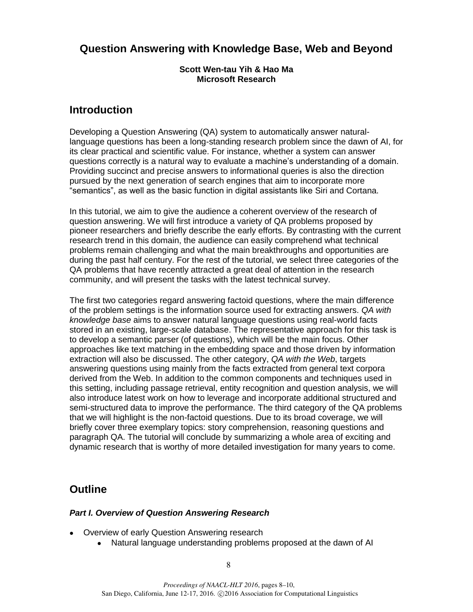# **Question Answering with Knowledge Base, Web and Beyond**

#### **Scott Wen-tau Yih & Hao Ma Microsoft Research**

## **Introduction**

Developing a Question Answering (QA) system to automatically answer naturallanguage questions has been a long-standing research problem since the dawn of AI, for its clear practical and scientific value. For instance, whether a system can answer questions correctly is a natural way to evaluate a machine's understanding of a domain. Providing succinct and precise answers to informational queries is also the direction pursued by the next generation of search engines that aim to incorporate more "semantics", as well as the basic function in digital assistants like Siri and Cortana.

In this tutorial, we aim to give the audience a coherent overview of the research of question answering. We will first introduce a variety of QA problems proposed by pioneer researchers and briefly describe the early efforts. By contrasting with the current research trend in this domain, the audience can easily comprehend what technical problems remain challenging and what the main breakthroughs and opportunities are during the past half century. For the rest of the tutorial, we select three categories of the QA problems that have recently attracted a great deal of attention in the research community, and will present the tasks with the latest technical survey.

The first two categories regard answering factoid questions, where the main difference of the problem settings is the information source used for extracting answers. *QA with knowledge base* aims to answer natural language questions using real-world facts stored in an existing, large-scale database. The representative approach for this task is to develop a semantic parser (of questions), which will be the main focus. Other approaches like text matching in the embedding space and those driven by information extraction will also be discussed. The other category, *QA with the Web*, targets answering questions using mainly from the facts extracted from general text corpora derived from the Web. In addition to the common components and techniques used in this setting, including passage retrieval, entity recognition and question analysis, we will also introduce latest work on how to leverage and incorporate additional structured and semi-structured data to improve the performance. The third category of the QA problems that we will highlight is the non-factoid questions. Due to its broad coverage, we will briefly cover three exemplary topics: story comprehension, reasoning questions and paragraph QA. The tutorial will conclude by summarizing a whole area of exciting and dynamic research that is worthy of more detailed investigation for many years to come.

# **Outline**

#### *Part I. Overview of Question Answering Research*

- Overview of early Question Answering research
	- Natural language understanding problems proposed at the dawn of AI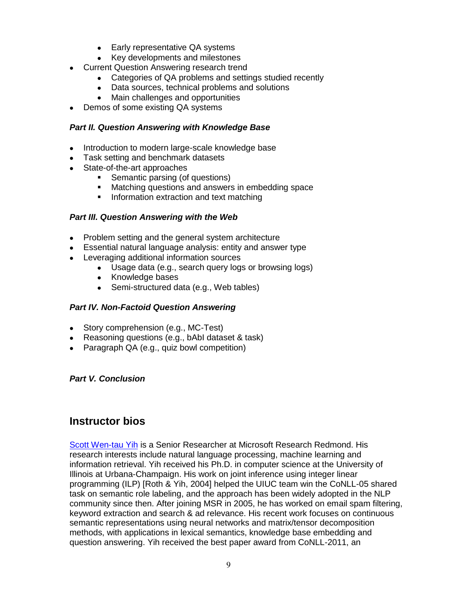- Early representative QA systems
- Key developments and milestones
- Current Question Answering research trend
	- Categories of QA problems and settings studied recently
	- Data sources, technical problems and solutions
	- Main challenges and opportunities
- Demos of some existing QA systems

#### *Part II. Question Answering with Knowledge Base*

- Introduction to modern large-scale knowledge base
- Task setting and benchmark datasets
- State-of-the-art approaches
	- Semantic parsing (of questions)
	- **Matching questions and answers in embedding space**
	- **Information extraction and text matching**

#### *Part III. Question Answering with the Web*

- Problem setting and the general system architecture
- Essential natural language analysis: entity and answer type
- Leveraging additional information sources
	- Usage data (e.g., search query logs or browsing logs)
	- Knowledge bases
	- Semi-structured data (e.g., Web tables)

#### *Part IV. Non-Factoid Question Answering*

- Story comprehension (e.g., MC-Test)
- Reasoning questions (e.g., bAbI dataset & task)
- Paragraph QA (e.g., quiz bowl competition)

#### *Part V. Conclusion*

### **Instructor bios**

Scott Wen-tau Yih is a Senior Researcher at Microsoft Research Redmond. His research interests include natural language processing, machine learning and information retrieval. Yih received his Ph.D. in computer science at the University of Illinois at Urbana-Champaign. His work on joint inference using integer linear programming (ILP) [Roth & Yih, 2004] helped the UIUC team win the CoNLL-05 shared task on semantic role labeling, and the approach has been widely adopted in the NLP community since then. After joining MSR in 2005, he has worked on email spam filtering, keyword extraction and search & ad relevance. His recent work focuses on continuous semantic representations using neural networks and matrix/tensor decomposition methods, with applications in lexical semantics, knowledge base embedding and question answering. Yih received the best paper award from CoNLL-2011, an